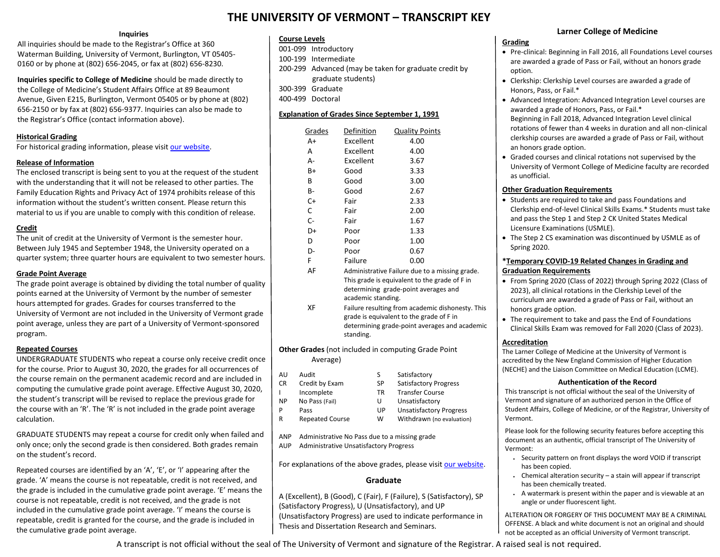# **THE UNIVERSITY OF VERMONT – TRANSCRIPT KEY**

## **Inquiries**

All inquiries should be made to the Registrar's Office at 360 Waterman Building, University of Vermont, Burlington, VT 05405- 0160 or by phone at (802) 656-2045, or fax at (802) 656-8230.

**Inquiries specific to College of Medicine** should be made directly to the College of Medicine's Student Affairs Office at 89 Beaumont Avenue, Given E215, Burlington, Vermont 05405 or by phone at (802) 656-2150 or by fax at (802) 656-9377. Inquiries can also be made to the Registrar's Office (contact information above).

## **Historical Grading**

For historical grading information, please visit [our website.](https://www.uvm.edu/registrar/historical-grading)

## **Release of Information**

The enclosed transcript is being sent to you at the request of the student with the understanding that it will not be released to other parties. The Family Education Rights and Privacy Act of 1974 prohibits release of this information without the student's written consent. Please return this material to us if you are unable to comply with this condition of release.

## **Credit**

The unit of credit at the University of Vermont is the semester hour. Between July 1945 and September 1948, the University operated on a quarter system; three quarter hours are equivalent to two semester hours.

## **Grade Point Average**

The grade point average is obtained by dividing the total number of quality points earned at the University of Vermont by the number of semester hours attempted for grades. Grades for courses transferred to the University of Vermont are not included in the University of Vermont grade point average, unless they are part of a University of Vermont-sponsored program.

## **Repeated Courses**

UNDERGRADUATE STUDENTS who repeat a course only receive credit once for the course. Prior to August 30, 2020, the grades for all occurrences of the course remain on the permanent academic record and are included in computing the cumulative grade point average. Effective August 30, 2020, the student's transcript will be revised to replace the previous grade for the course with an 'R'. The 'R' is not included in the grade point average calculation.

GRADUATE STUDENTS may repeat a course for credit only when failed and only once; only the second grade is then considered. Both grades remain on the student's record.

Repeated courses are identified by an 'A', 'E', or 'I' appearing after the grade. 'A' means the course is not repeatable, credit is not received, and the grade is included in the cumulative grade point average. 'E' means the course is not repeatable, credit is not received, and the grade is not included in the cumulative grade point average. 'I' means the course is repeatable, credit is granted for the course, and the grade is included in the cumulative grade point average.

## **Course Levels**

001-099 Introductory 100-199 Intermediate 200-299 Advanced (may be taken for graduate credit by graduate students) 300-399 Graduate 400-499 Doctoral

## **Explanation of Grades Since September 1, 1991**

| Grades             | Definition                                       | <b>Quality Points</b> |
|--------------------|--------------------------------------------------|-----------------------|
| A+                 | Excellent                                        | 4.00                  |
| А                  | Excellent                                        | 4.00                  |
| А-                 | Excellent                                        | 3.67                  |
| B+                 | Good                                             | 3.33                  |
| В                  | Good                                             | 3.00                  |
| В-                 | Good                                             | 2.67                  |
| C+                 | Fair                                             | 2.33                  |
| C                  | Fair                                             | 2.00                  |
| $C-$               | Fair                                             | 1.67                  |
| D+                 | Poor                                             | 1.33                  |
| D                  | Poor                                             | 1.00                  |
| D-                 | Poor                                             | 0.67                  |
| F                  | Failure                                          | 0.00                  |
| AF                 | Administrative Failure due to a missing grade.   |                       |
|                    | This grade is equivalent to the grade of F in    |                       |
|                    | determining grade-point averages and             |                       |
| academic standing. |                                                  |                       |
| ХF                 | Failure resulting from academic dishonesty. This |                       |
|                    | grade is equivalent to the grade of F in         |                       |
|                    | determining grade-point averages and academic    |                       |

**Other Grades** (not included in computing Grade Point Average)

standing.

- AU Audit S Satisfactory
- CR Credit by Exam SP Satisfactory Progress
- I Incomplete TR Transfer Course
- NP No Pass (Fail) U Unsatisfactory P Pass UP Unsatisfactory Progress
- R Repeated Course W Withdrawn (no evaluation)
- 
- ANP Administrative No Pass due to a missing grade AUP Administrative Unsatisfactory Progress

For explanations of the above grades, please visi[t our website.](https://www.uvm.edu/registrar/grades)

## **Graduate**

A (Excellent), B (Good), C (Fair), F (Failure), S (Satisfactory), SP (Satisfactory Progress), U (Unsatisfactory), and UP (Unsatisfactory Progress) are used to indicate performance in Thesis and Dissertation Research and Seminars.

## **Larner College of Medicine**

#### **Grading**

- Pre-clinical: Beginning in Fall 2016, all Foundations Level courses are awarded a grade of Pass or Fail, without an honors grade option.
- Clerkship: Clerkship Level courses are awarded a grade of Honors, Pass, or Fail.\*
- Advanced Integration: Advanced Integration Level courses are awarded a grade of Honors, Pass, or Fail.\* Beginning in Fall 2018, Advanced Integration Level clinical rotations of fewer than 4 weeks in duration and all non-clinical clerkship courses are awarded a grade of Pass or Fail, without an honors grade option.
- Graded courses and clinical rotations not supervised by the University of Vermont College of Medicine faculty are recorded as unofficial.

## **Other Graduation Requirements**

- Students are required to take and pass Foundations and Clerkship end-of-level Clinical Skills Exams.\* Students must take and pass the Step 1 and Step 2 CK United States Medical Licensure Examinations (USMLE).
- The Step 2 CS examination was discontinued by USMLE as of Spring 2020.

## **\*Temporary COVID-19 Related Changes in Grading and Graduation Requirements**

- From Spring 2020 (Class of 2022) through Spring 2022 (Class of 2023), all clinical rotations in the Clerkship Level of the curriculum are awarded a grade of Pass or Fail, without an honors grade option.
- The requirement to take and pass the End of Foundations Clinical Skills Exam was removed for Fall 2020 (Class of 2023).

## **Accreditation**

The Larner College of Medicine at the University of Vermont is accredited by the New England Commission of Higher Education (NECHE) and the Liaison Committee on Medical Education (LCME).

## **Authentication of the Record**

This transcript is not official without the seal of the University of Vermont and signature of an authorized person in the Office of Student Affairs, College of Medicine, or of the Registrar, University of Vermont.

Please look for the following security features before accepting this document as an authentic, official transcript of The University of Vermont:

- Security pattern on front displays the word VOID if transcript has been copied.
- Chemical alteration security a stain will appear if transcript has been chemically treated.
- A watermark is present within the paper and is viewable at an angle or under fluorescent light.

ALTERATION OR FORGERY OF THIS DOCUMENT MAY BE A CRIMINAL OFFENSE. A black and white document is not an original and should not be accepted as an official University of Vermont transcript.

A transcript is not official without the seal of The University of Vermont and signature of the Registrar. A raised seal is not required.